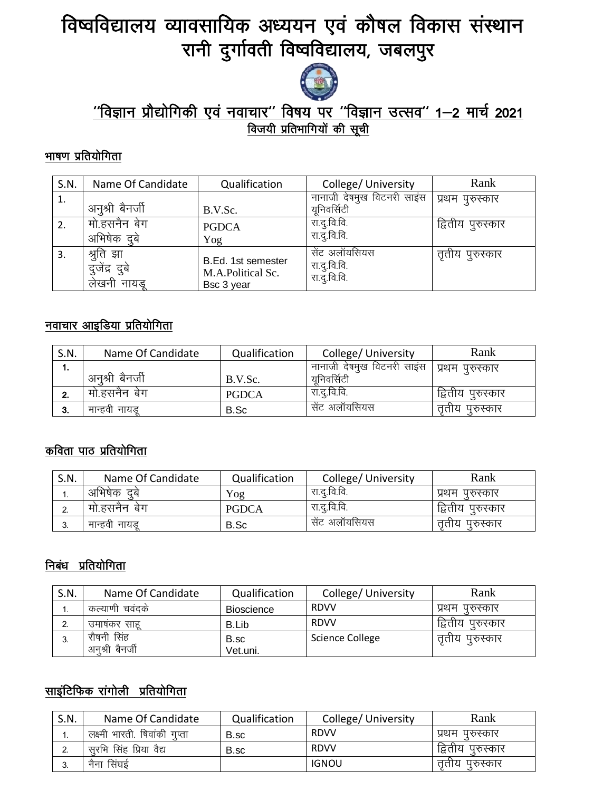# विष्वविद्यालय व्यावसायिक अध्ययन एवं कौषल विकास संस्थान रानी दुर्गावती विष्वविद्यालय, जबलपुर



## <u>''विज्ञान प्रौद्योगिकी एवं नवाचार'' विषय पर ''विज्ञान उत्सव'' 1—2 मार्च 2021</u> <u>विजयी प्रतिभागियों की सूची</u>

#### <u>भाषण प्रतियोगिता</u>

| S.N. | Name Of Candidate                         | Qualification                                         | College/ University                           | Rank              |
|------|-------------------------------------------|-------------------------------------------------------|-----------------------------------------------|-------------------|
| 1.   | अनुश्री बैनर्जी                           | B.V.Sc.                                               | नानाजी देषमुख विटनरी साइंस<br>यनिवर्सिटी      | प्रथम पुरुस्कार   |
| 2.   | मो.हसनैन बेग<br>अभिषेक दबे                | <b>PGDCA</b><br>Yog                                   | रा.दू.वि.वि.<br>रा.दू.वि.वि.                  | द्वितीय पुरुस्कार |
| 3.   | श्रुति झा<br>दुजेंद्र दुबे<br>लेखनी नायडू | B.Ed. 1st semester<br>M.A.Political Sc.<br>Bsc 3 year | सेंट अलॉयसियस<br>रा.दु.वि.वि.<br>रा.दू.वि.वि. | तृतीय पुरुस्कार   |

#### नवाचार आइडिया प्रतियोगिता

| S.N. | Name Of Candidate | Qualification | College/University                           | Rank              |
|------|-------------------|---------------|----------------------------------------------|-------------------|
| ۰.   |                   |               | नानाजी देषमुख विटनरी साइंस   प्रथम पुरुस्कार |                   |
|      | अनुश्री बैनर्जी   | B.V.Sc.       | यनिवर्सिटी                                   |                   |
| L.   | मो.हसनैन बेग      | <b>PGDCA</b>  | रा द वि.वि.                                  | द्वितीय पुरुस्कार |
| 3.   | मान्हवी नायड      | B.Sc          | सेंट अलॉयसियस                                | तताय पुरुस्कार    |

## कविता पाठ प्रतियोगिता

| S.N. | Name Of Candidate | Qualification | College/University | Rank                |
|------|-------------------|---------------|--------------------|---------------------|
| . .  | अभिषेक दबे        | Yog           | रा द वि.वि.        | प्रथम<br>परुस्कार   |
| L.   | मो.हसनैन बेग      | <b>PGDCA</b>  | रा द वि.वि.        | द्वितीय<br>परुस्कार |
| J.   | मान्हवी नायड      | B.Sc          | सेंट अलॉयसियस      | परुस्कार<br>तताय    |

## निबंध प्रतियोगिता

| S.N. | Name Of Candidate | Qualification     | College/ University    | Rank              |
|------|-------------------|-------------------|------------------------|-------------------|
| ٠.   | कल्याणी चवदके     | <b>Bioscience</b> | <b>RDVV</b>            | प्रथम पुरुस्कार   |
|      | उमाषकर साह        | B.Lib             | <b>RDVV</b>            | द्वितीय पुरुस्कार |
| . J. | रौषनी सिंह        | B.sc              | <b>Science College</b> | तृतीय पुरुस्कार   |
|      | अनुश्री बैनर्जी   | Vet.uni.          |                        |                   |

# <u>साइंटिफिक रांगोली प्रतियोगि</u>ता

| S.N. | Name Of Candidate             | Qualification | College/ University | Rank              |
|------|-------------------------------|---------------|---------------------|-------------------|
| ι.   | लक्ष्मी भारती. षिवांकी गुप्ता | B.sc          | <b>RDVV</b>         | प्रथम पुरुस्कार   |
| L.   | सुरभि सिंह प्रिया वैद्य       | B.sc          | <b>RDVV</b>         | द्वितीय पुरुस्कार |
| -3.  | नैना सिंघई                    |               | <b>IGNOU</b>        | तृताय पुरुस्कार   |